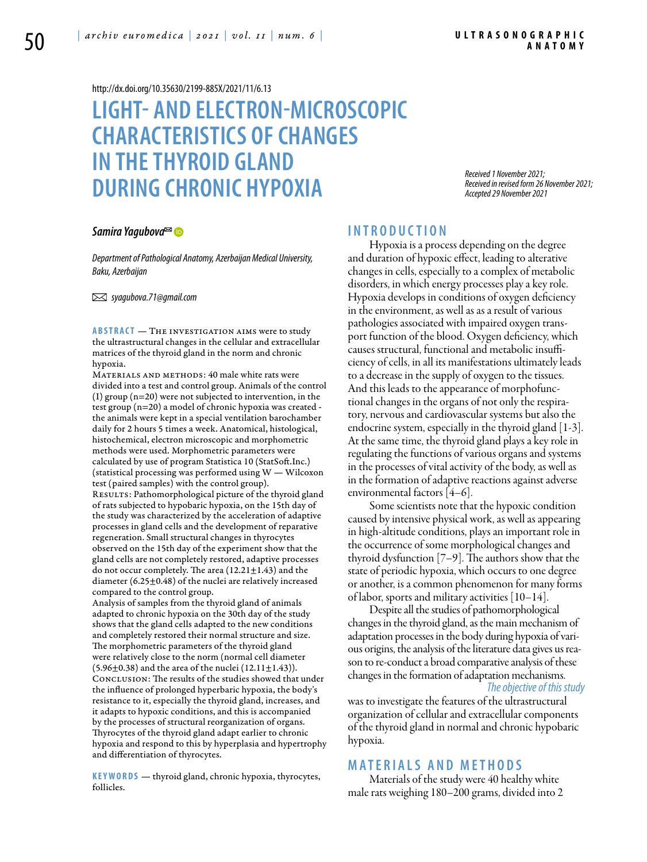#### <http://dx.doi.org/10.35630/2199-885X/2021/11/6.13>

# **LIGHT- AND ELECTRON-MICROSCOPIC CHARACTERISTICS OF CHANGES IN THETHYROID GLAND DURING CHRONIC HYPOXIA**

*Received 1 November 2021; Received in revised form 26 November 2021; Accepted 29 November 2021*

#### *[Samira Yagubova](https://orcid.org/0000-0002-6794-7798)*

*Department of Pathological Anatomy, Azerbaijan Medical University, Baku, Azerbaijan*

 *syagubova.71@gmail.com* 

**ABSTRACT** — THE INVESTIGATION AIMS were to study the ultrastructural changes in the cellular and extracellular matrices of the thyroid gland in the norm and chronic hypoxia.

MATERIALS AND METHODS: 40 male white rats were divided into a test and control group. Animals of the control (I) group (n=20) were not subjected to intervention, in the test group (n=20) a model of chronic hypoxia was created the animals were kept in a special ventilation barochamber daily for 2 hours 5 times a week. Anatomical, histological, histochemical, electron microscopic and morphometric methods were used. Morphometric parameters were calculated by use of program Statistica 10 (StatSoft.Inc.) (statistical processing was performed using W — Wilcoxon test (paired samples) with the control group). RESULTS: Pathomorphological picture of the thyroid gland of rats subjected to hypobaric hypoxia, on the 15th day of the study was characterized by the acceleration of adaptive processes in gland cells and the development of reparative regeneration. Small structural changes in thyrocytes observed on the 15th day of the experiment show that the gland cells are not completely restored, adaptive processes do not occur completely. The area  $(12.21 \pm 1.43)$  and the diameter (6.25±0.48) of the nuclei are relatively increased compared to the control group. Analysis of samples from the thyroid gland of animals

adapted to chronic hypoxia on the 30th day of the study shows that the gland cells adapted to the new conditions and completely restored their normal structure and size. The morphometric parameters of the thyroid gland were relatively close to the norm (normal cell diameter  $(5.96 \pm 0.38)$  and the area of the nuclei  $(12.11 \pm 1.43)$ . Conclusion: The results of the studies showed that under the influence of prolonged hyperbaric hypoxia, the body's resistance to it, especially the thyroid gland, increases, and it adapts to hypoxic conditions, and this is accompanied by the processes of structural reorganization of organs. Thyrocytes of the thyroid gland adapt earlier to chronic hypoxia and respond to this by hyperplasia and hypertrophy and differentiation of thyrocytes.

KEYWORDS — thyroid gland, chronic hypoxia, thyrocytes, follicles.

#### **I n t r o d uct i o n**

Hypoxia is a process depending on the degree and duration of hypoxic effect, leading to alterative changes in cells, especially to a complex of metabolic disorders, in which energy processes play a key role. Hypoxia develops in conditions of oxygen deficiency in the environment, as well as as a result of various pathologies associated with impaired oxygen transport function of the blood. Oxygen deficiency, which causes structural, functional and metabolic insufficiency of cells, in all its manifestations ultimately leads to a decrease in the supply of oxygen to the tissues. And this leads to the appearance of morphofunctional changes in the organs of not only the respiratory, nervous and cardiovascular systems but also the endocrine system, especially in the thyroid gland [1-3]. At the same time, the thyroid gland plays a key role in regulating the functions of various organs and systems in the processes of vital activity of the body, as well as in the formation of adaptive reactions against adverse environmental factors [4–6].

Some scientists note that the hypoxic condition caused by intensive physical work, as well as appearing in high-altitude conditions, plays an important role in the occurrence of some morphological changes and thyroid dysfunction [7–9]. The authors show that the state of periodic hypoxia, which occurs to one degree or another, is a common phenomenon for many forms of labor, sports and military activities [10–14].

Despite all the studies of pathomorphological changes in the thyroid gland, as the main mechanism of adaptation processes in the body during hypoxia of various origins, the analysis of the literature data gives us reason to re-conduct a broad comparative analysis of these changes in the formation of adaptation mechanisms. *The objective of this study* 

was to investigate the features of the ultrastructural organization of cellular and extracellular components of the thyroid gland in normal and chronic hypobaric hypoxia.

## **MATERIALS AND METHODS**

Materials of the study were 40 healthy white male rats weighing 180–200 grams, divided into 2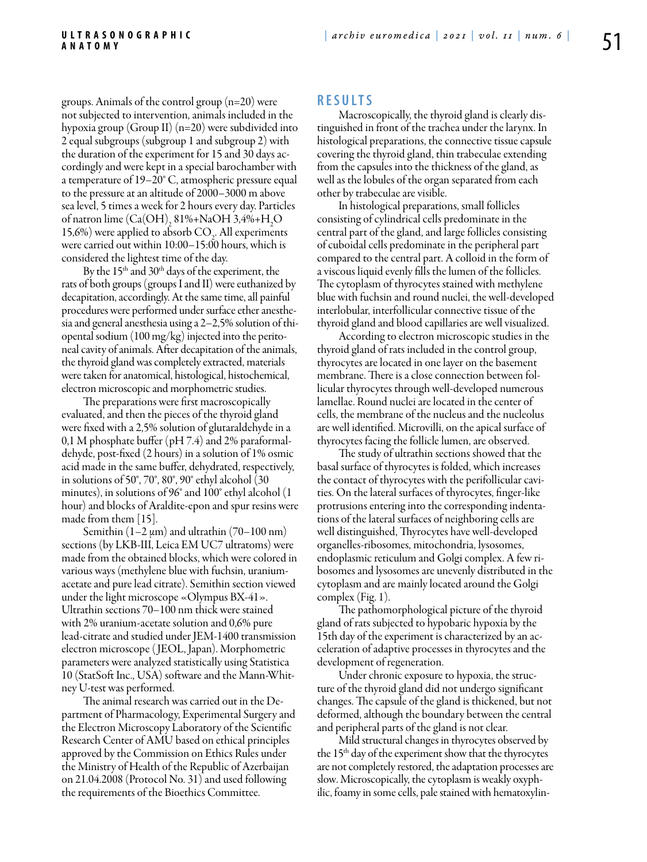groups. Animals of the control group (n=20) were not subjected to intervention, animals included in the hypoxia group (Group II) (n=20) were subdivided into 2 equal subgroups (subgroup 1 and subgroup 2) with the duration of the experiment for 15 and 30 days accordingly and were kept in a special barochamber with a temperature of 19–20° C, atmospheric pressure equal to the pressure at an altitude of 2000–3000 m above sea level, 5 times a week for 2 hours every day. Particles of natron lime  $(Ca(OH)_2 81\% + NaOH 3,4\% + H_2O$ 15,6%) were applied to absorb  $CO<sub>2</sub>$ . All experiments were carried out within 10:00–15:00 hours, which is considered the lightest time of the day.

By the  $15<sup>th</sup>$  and  $30<sup>th</sup>$  days of the experiment, the rats of both groups (groups I and II) were euthanized by decapitation, accordingly. At the same time, all painful procedures were performed under surface ether anesthesia and general anesthesia using a 2–2,5% solution of thiopental sodium (100 mg/kg) injected into the peritoneal cavity of animals. After decapitation of the animals, the thyroid gland was completely extracted, materials were taken for anatomical, histological, histochemical, electron microscopic and morphometric studies.

The preparations were first macroscopically evaluated, and then the pieces of the thyroid gland were fixed with a 2,5% solution of glutaraldehyde in a 0,1 M phosphate buffer (pH 7.4) and 2% paraformaldehyde, post-fixed (2 hours) in a solution of 1% osmic acid made in the same buffer, dehydrated, respectively, in solutions of 50°, 70°, 80°, 90° ethyl alcohol (30 minutes), in solutions of 96° and 100° ethyl alcohol (1 hour) and blocks of Araldite-epon and spur resins were made from them [15].

Semithin  $(1-2 \mu m)$  and ultrathin  $(70-100 \text{ nm})$ sections (by LKB-III, Leica EM UC7 ultratoms) were made from the obtained blocks, which were colored in various ways (methylene blue with fuchsin, uraniumacetate and pure lead citrate). Semithin section viewed under the light microscope «Olympus BX-41». Ultrathin sections 70–100 nm thick were stained with 2% uranium-acetate solution and 0,6% pure lead-citrate and studied under JEM-1400 transmission electron microscope ( JEOL, Japan). Morphometric parameters were analyzed statistically using Statistica 10 (StatSoft Inc., USA) software and the Mann-Whitney U-test was performed.

The animal research was carried out in the Department of Pharmacology, Experimental Surgery and the Electron Microscopy Laboratory of the Scientific Research Center of AMU based on ethical principles approved by the Commission on Ethics Rules under the Ministry of Health of the Republic of Azerbaijan on 21.04.2008 (Protocol No. 31) and used following the requirements of the Bioethics Committee.

### **R e s u l t s**

Macroscopically, the thyroid gland is clearly distinguished in front of the trachea under the larynx. In histological preparations, the connective tissue capsule covering the thyroid gland, thin trabeculae extending from the capsules into the thickness of the gland, as well as the lobules of the organ separated from each other by trabeculae are visible.

In histological preparations, small follicles consisting of cylindrical cells predominate in the central part of the gland, and large follicles consisting of cuboidal cells predominate in the peripheral part compared to the central part. A colloid in the form of a viscous liquid evenly fills the lumen of the follicles. The cytoplasm of thyrocytes stained with methylene blue with fuchsin and round nuclei, the well-developed interlobular, interfollicular connective tissue of the thyroid gland and blood capillaries are well visualized.

According to electron microscopic studies in the thyroid gland of rats included in the control group, thyrocytes are located in one layer on the basement membrane. There is a close connection between follicular thyrocytes through well-developed numerous lamellae. Round nuclei are located in the center of cells, the membrane of the nucleus and the nucleolus are well identified. Microvilli, on the apical surface of thyrocytes facing the follicle lumen, are observed.

The study of ultrathin sections showed that the basal surface of thyrocytes is folded, which increases the contact of thyrocytes with the perifollicular cavities. On the lateral surfaces of thyrocytes, finger-like protrusions entering into the corresponding indentations of the lateral surfaces of neighboring cells are well distinguished, Thyrocytes have well-developed organelles-ribosomes, mitochondria, lysosomes, endoplasmic reticulum and Golgi complex. A few ribosomes and lysosomes are unevenly distributed in the cytoplasm and are mainly located around the Golgi complex (Fig. 1).

The pathomorphological picture of the thyroid gland of rats subjected to hypobaric hypoxia by the 15th day of the experiment is characterized by an acceleration of adaptive processes in thyrocytes and the development of regeneration.

Under chronic exposure to hypoxia, the structure of the thyroid gland did not undergo significant changes. The capsule of the gland is thickened, but not deformed, although the boundary between the central and peripheral parts of the gland is not clear.

Mild structural changes in thyrocytes observed by the 15th day of the experiment show that the thyrocytes are not completely restored, the adaptation processes are slow. Microscopically, the cytoplasm is weakly oxyphilic, foamy in some cells, pale stained with hematoxylin-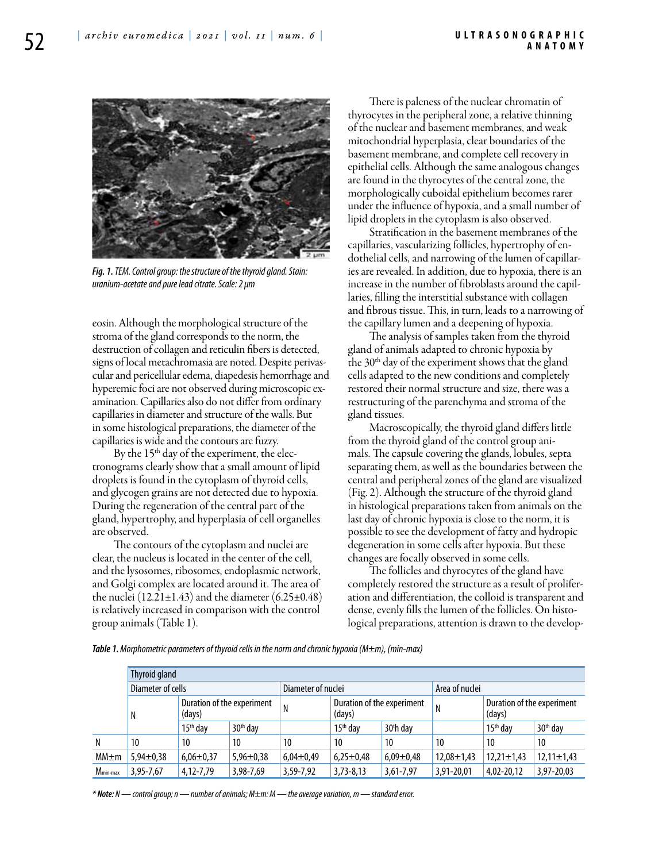

*Fig. 1. TEM. Control group: the structure of the thyroid gland. Stain: uranium-acetate and pure lead citrate. Scale: 2 μm*

eosin. Although the morphological structure of the stroma of the gland corresponds to the norm, the destruction of collagen and reticulin fibers is detected, signs of local metachromasia are noted. Despite perivascular and pericellular edema, diapedesis hemorrhage and hyperemic foci are not observed during microscopic examination. Capillaries also do not differ from ordinary capillaries in diameter and structure of the walls. But in some histological preparations, the diameter of the capillaries is wide and the contours are fuzzy.

By the  $15<sup>th</sup>$  day of the experiment, the electronograms clearly show that a small amount of lipid droplets is found in the cytoplasm of thyroid cells, and glycogen grains are not detected due to hypoxia. During the regeneration of the central part of the gland, hypertrophy, and hyperplasia of cell organelles are observed.

The contours of the cytoplasm and nuclei are clear, the nucleus is located in the center of the cell, and the lysosomes, ribosomes, endoplasmic network, and Golgi complex are located around it. The area of the nuclei (12.21 $\pm$ 1.43) and the diameter (6.25 $\pm$ 0.48) is relatively increased in comparison with the control group animals (Table 1).

There is paleness of the nuclear chromatin of thyrocytes in the peripheral zone, a relative thinning of the nuclear and basement membranes, and weak mitochondrial hyperplasia, clear boundaries of the basement membrane, and complete cell recovery in epithelial cells. Although the same analogous changes are found in the thyrocytes of the central zone, the morphologically cuboidal epithelium becomes rarer under the influence of hypoxia, and a small number of lipid droplets in the cytoplasm is also observed.

Stratification in the basement membranes of the capillaries, vascularizing follicles, hypertrophy of endothelial cells, and narrowing of the lumen of capillaries are revealed. In addition, due to hypoxia, there is an increase in the number of fibroblasts around the capillaries, filling the interstitial substance with collagen and fibrous tissue. This, in turn, leads to a narrowing of the capillary lumen and a deepening of hypoxia.

The analysis of samples taken from the thyroid gland of animals adapted to chronic hypoxia by the  $30<sup>th</sup>$  day of the experiment shows that the gland cells adapted to the new conditions and completely restored their normal structure and size, there was a restructuring of the parenchyma and stroma of the gland tissues.

Macroscopically, the thyroid gland differs little from the thyroid gland of the control group animals. The capsule covering the glands, lobules, septa separating them, as well as the boundaries between the central and peripheral zones of the gland are visualized (Fig. 2). Although the structure of the thyroid gland in histological preparations taken from animals on the last day of chronic hypoxia is close to the norm, it is possible to see the development of fatty and hydropic degeneration in some cells after hypoxia. But these changes are focally observed in some cells.

The follicles and thyrocytes of the gland have completely restored the structure as a result of proliferation and differentiation, the colloid is transparent and dense, evenly fills the lumen of the follicles. On histological preparations, attention is drawn to the develop-

*Table 1. Morphometric parameters of thyroid cells in the norm and chronic hypoxia (M±m), (min-max)*

|                      | Thyroid gland     |                                      |                      |                    |                                      |                 |                  |                                      |                      |
|----------------------|-------------------|--------------------------------------|----------------------|--------------------|--------------------------------------|-----------------|------------------|--------------------------------------|----------------------|
|                      | Diameter of cells |                                      |                      | Diameter of nuclei |                                      |                 | Area of nuclei   |                                      |                      |
|                      | N                 | Duration of the experiment<br>(days) |                      | N                  | Duration of the experiment<br>(days) |                 | N                | Duration of the experiment<br>(days) |                      |
|                      |                   | $15th$ dav                           | 30 <sup>th</sup> day |                    | $15th$ day                           | 30th day        |                  | $15th$ dav                           | 30 <sup>th</sup> day |
| N                    | 10                | 10                                   | 10                   | 10                 | 10                                   | 10              | 10               | 10                                   | 10                   |
| $MM \pm m$           | $5,94\pm0,38$     | $6,06 \pm 0,37$                      | $5,96 \pm 0,38$      | $6,04\pm0,49$      | $6,25 \pm 0.48$                      | $6,09 \pm 0,48$ | $12,08 \pm 1,43$ | $12,21 \pm 1,43$                     | $12,11 \pm 1,43$     |
| M <sub>min-max</sub> | 3,95-7,67         | 4,12-7,79                            | 3,98-7,69            | 3,59-7,92          | $3,73 - 8,13$                        | 3,61-7,97       | 3,91-20,01       | 4,02-20,12                           | 3,97-20,03           |

*\* Note: N — control group; n — number of animals; M±m: M — the average variation, m — standard error.*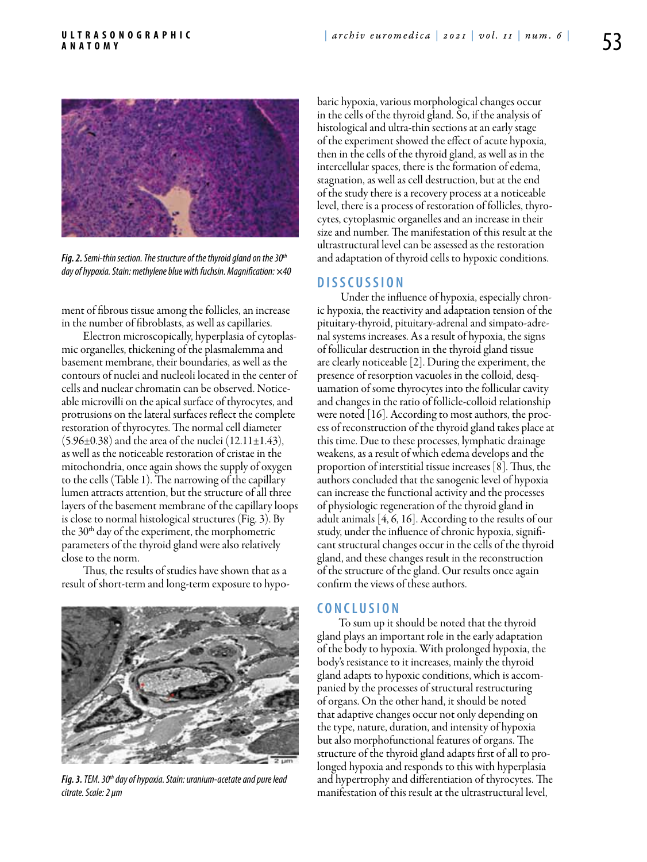

*Fig. 2. Semi-thin section. The structure of the thyroid gland on the 30th day of hypoxia. Stain: methylene blue with fuchsin. Magnification: ×40*

ment of fibrous tissue among the follicles, an increase in the number of fibroblasts, as well as capillaries.

Electron microscopically, hyperplasia of cytoplasmic organelles, thickening of the plasmalemma and basement membrane, their boundaries, as well as the contours of nuclei and nucleoli located in the center of cells and nuclear chromatin can be observed. Noticeable microvilli on the apical surface of thyrocytes, and protrusions on the lateral surfaces reflect the complete restoration of thyrocytes. The normal cell diameter  $(5.96\pm0.38)$  and the area of the nuclei  $(12.11\pm1.43)$ , as well as the noticeable restoration of cristae in the mitochondria, once again shows the supply of oxygen to the cells (Table 1). The narrowing of the capillary lumen attracts attention, but the structure of all three layers of the basement membrane of the capillary loops is close to normal histological structures (Fig. 3). By the 30<sup>th</sup> day of the experiment, the morphometric parameters of the thyroid gland were also relatively close to the norm.

Thus, the results of studies have shown that as a result of short-term and long-term exposure to hypo-



*Fig. 3. TEM. 30th day of hypoxia. Stain: uranium-acetate and pure lead citrate. Scale: 2 μm*

baric hypoxia, various morphological changes occur in the cells of the thyroid gland. So, if the analysis of histological and ultra-thin sections at an early stage of the experiment showed the effect of acute hypoxia, then in the cells of the thyroid gland, as well as in the intercellular spaces, there is the formation of edema, stagnation, as well as cell destruction, but at the end of the study there is a recovery process at a noticeable level, there is a process of restoration of follicles, thyrocytes, cytoplasmic organelles and an increase in their size and number. The manifestation of this result at the ultrastructural level can be assessed as the restoration and adaptation of thyroid cells to hypoxic conditions.

## **D i s scu s s i o n**

 Under the influence of hypoxia, especially chronic hypoxia, the reactivity and adaptation tension of the pituitary-thyroid, pituitary-adrenal and simpato-adrenal systems increases. As a result of hypoxia, the signs of follicular destruction in the thyroid gland tissue are clearly noticeable [2]. During the experiment, the presence of resorption vacuoles in the colloid, desquamation of some thyrocytes into the follicular cavity and changes in the ratio of follicle-colloid relationship were noted [16]. According to most authors, the process of reconstruction of the thyroid gland takes place at this time. Due to these processes, lymphatic drainage weakens, as a result of which edema develops and the proportion of interstitial tissue increases [8]. Thus, the authors concluded that the sanogenic level of hypoxia can increase the functional activity and the processes of physiologic regeneration of the thyroid gland in adult animals [4, 6, 16]. According to the results of our study, under the influence of chronic hypoxia, significant structural changes occur in the cells of the thyroid gland, and these changes result in the reconstruction of the structure of the gland. Our results once again confirm the views of these authors.

#### **C o n cl u s i o n**

To sum up it should be noted that the thyroid gland plays an important role in the early adaptation of the body to hypoxia. With prolonged hypoxia, the body's resistance to it increases, mainly the thyroid gland adapts to hypoxic conditions, which is accompanied by the processes of structural restructuring of organs. On the other hand, it should be noted that adaptive changes occur not only depending on the type, nature, duration, and intensity of hypoxia but also morphofunctional features of organs. The structure of the thyroid gland adapts first of all to prolonged hypoxia and responds to this with hyperplasia and hypertrophy and differentiation of thyrocytes. The manifestation of this result at the ultrastructural level,